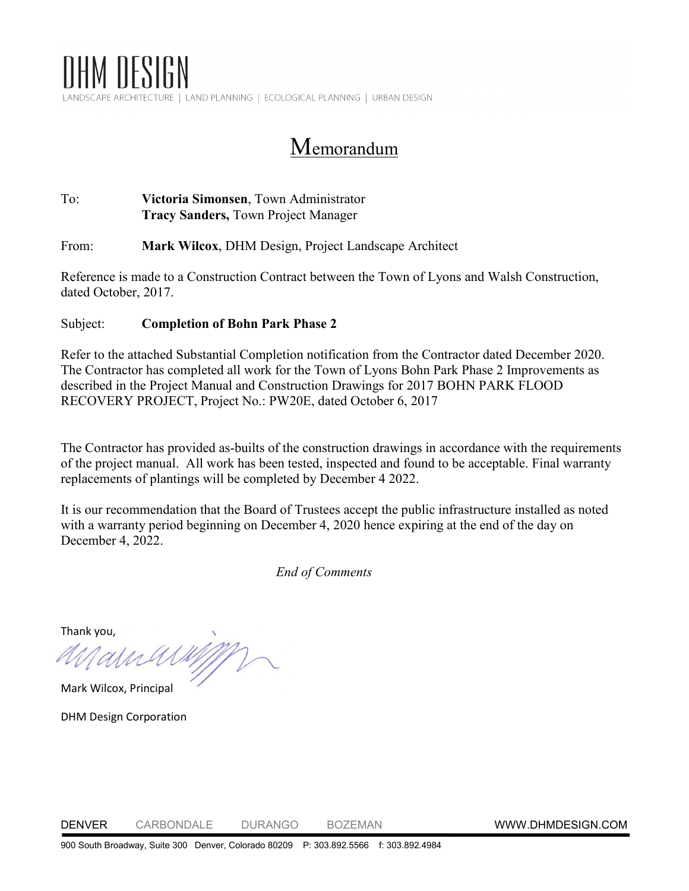

Memorandum

## To: **Victoria Simonsen**, Town Administrator **Tracy Sanders,** Town Project Manager

From: **Mark Wilcox**, DHM Design, Project Landscape Architect

Reference is made to a Construction Contract between the Town of Lyons and Walsh Construction, dated October, 2017.

## Subject: **Completion of Bohn Park Phase 2**

Refer to the attached Substantial Completion notification from the Contractor dated December 2020. The Contractor has completed all work for the Town of Lyons Bohn Park Phase 2 Improvements as described in the Project Manual and Construction Drawings for 2017 BOHN PARK FLOOD RECOVERY PROJECT, Project No.: PW20E, dated October 6, 2017

The Contractor has provided as-builts of the construction drawings in accordance with the requirements of the project manual. All work has been tested, inspected and found to be acceptable. Final warranty replacements of plantings will be completed by December 4 2022.

It is our recommendation that the Board of Trustees accept the public infrastructure installed as noted with a warranty period beginning on December 4, 2020 hence expiring at the end of the day on December 4, 2022.

*End of Comments*

Thank you,

Mark Wilcox, Principal

alla

DHM Design Corporation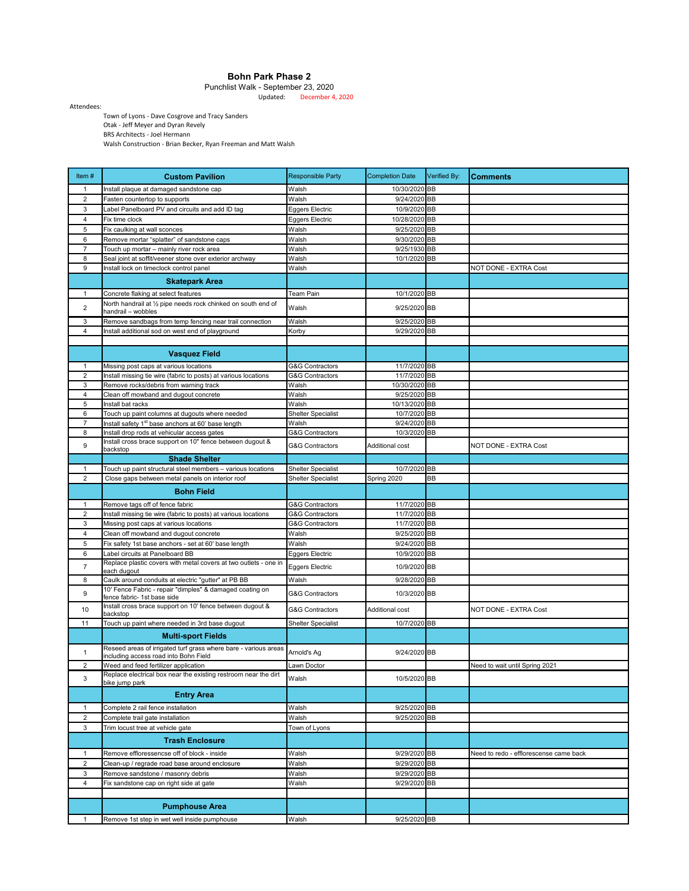## **Bohn Park Phase 2**

Updated: December 4, 2020 Punchlist Walk - September 23, 2020

Attendees:

Town of Lyons - Dave Cosgrove and Tracy Sanders Otak - Jeff Meyer and Dyran Revely BRS Architects - Joel Hermann Walsh Construction - Brian Becker, Ryan Freeman and Matt Walsh

| Item $#$            | <b>Custom Pavilion</b>                                                                                          | <b>Responsible Party</b>   | <b>Completion Date</b>        | Verified By: | <b>Comments</b>                        |
|---------------------|-----------------------------------------------------------------------------------------------------------------|----------------------------|-------------------------------|--------------|----------------------------------------|
| 1                   | Install plaque at damaged sandstone cap                                                                         | Walsh                      | 10/30/2020 BB                 |              |                                        |
| $\overline{2}$      | Fasten countertop to supports                                                                                   | Walsh                      | 9/24/2020 BB                  |              |                                        |
| 3                   | abel Panelboard PV and circuits and add ID tag                                                                  | <b>Eggers Electric</b>     | 10/9/2020 BB                  |              |                                        |
| 4                   | Fix time clock                                                                                                  | <b>Eggers Electric</b>     | 10/28/2020 BB                 |              |                                        |
| $\overline{5}$      | Fix caulking at wall sconces                                                                                    | Walsh                      | 9/25/2020 BB                  |              |                                        |
| 6                   | Remove mortar "splatter" of sandstone caps                                                                      | Walsh                      | 9/30/2020 BB                  |              |                                        |
| $\overline{7}$      | Touch up mortar - mainly river rock area                                                                        | Walsh                      | 9/25/1930 BB                  |              |                                        |
| 8                   | Seal joint at soffit/veener stone over exterior archway                                                         | Walsh                      | 10/1/2020 BB                  |              |                                        |
| 9                   | Install lock on timeclock control panel                                                                         | Walsh                      |                               |              | NOT DONE - EXTRA Cost                  |
|                     | <b>Skatepark Area</b>                                                                                           |                            |                               |              |                                        |
| 1                   | Concrete flaking at select features                                                                             | Team Pain                  | 10/1/2020 BB                  |              |                                        |
| $\overline{2}$      | North handrail at 1/2 pipe needs rock chinked on south end of<br>handrail - wobbles                             | Walsh                      | 9/25/2020 BB                  |              |                                        |
| 3                   | Remove sandbags from temp fencing near trail connection                                                         | Walsh                      | 9/25/2020 BB                  |              |                                        |
| $\overline{4}$      | Install additional sod on west end of playground                                                                | Korby                      | 9/29/2020 BB                  |              |                                        |
|                     |                                                                                                                 |                            |                               |              |                                        |
|                     | <b>Vasquez Field</b>                                                                                            |                            |                               |              |                                        |
| $\mathbf{1}$        | Missing post caps at various locations                                                                          | G&G Contractors            | 11/7/2020 BB                  |              |                                        |
| 2                   | Install missing tie wire (fabric to posts) at various locations                                                 | G&G Contractors            | 11/7/2020 BB                  |              |                                        |
| 3                   | Remove rocks/debris from warning track                                                                          | Walsh                      | 10/30/2020 BB                 |              |                                        |
| $\overline{4}$<br>5 | Clean off mowband and dugout concrete<br>Install bat racks                                                      | Walsh<br>Walsh             | 9/25/2020 BB<br>10/13/2020 BB |              |                                        |
| 6                   | Touch up paint columns at dugouts where needed                                                                  | <b>Shelter Specialist</b>  | 10/7/2020 BB                  |              |                                        |
| 7                   | Install safety 1 <sup>st</sup> base anchors at 60' base length                                                  | Walsh                      | 9/24/2020 BB                  |              |                                        |
| 8                   | Install drop rods at vehicular access gates                                                                     | G&G Contractors            | 10/3/2020 BB                  |              |                                        |
| 9                   | Install cross brace support on 10" fence between dugout &                                                       | <b>G&amp;G Contractors</b> | Additional cost               |              | NOT DONE - EXTRA Cost                  |
|                     | backstop                                                                                                        |                            |                               |              |                                        |
|                     | <b>Shade Shelter</b>                                                                                            |                            |                               |              |                                        |
| $\mathbf{1}$        | Touch up paint structural steel members - various locations                                                     | <b>Shelter Specialist</b>  | 10/7/2020 BB                  |              |                                        |
| $\overline{2}$      | Close gaps between metal panels on interior roof                                                                | <b>Shelter Specialist</b>  | Spring 2020                   | BВ           |                                        |
|                     | <b>Bohn Field</b>                                                                                               |                            |                               |              |                                        |
| 1                   | Remove tags off of fence fabric                                                                                 | G&G Contractors            | 11/7/2020 BB                  |              |                                        |
| $\overline{2}$      | Install missing tie wire (fabric to posts) at various locations                                                 | <b>G&amp;G Contractors</b> | 11/7/2020 BB                  |              |                                        |
| 3                   | Missing post caps at various locations                                                                          | G&G Contractors            | 11/7/2020 BB                  |              |                                        |
| $\overline{4}$      | Clean off mowband and dugout concrete                                                                           | Walsh                      | 9/25/2020 BB                  |              |                                        |
| 5<br>6              | Fix safety 1st base anchors - set at 60' base length<br>Label circuits at Panelboard BB                         | Walsh<br>Eggers Electric   | 9/24/2020 BB<br>10/9/2020 BB  |              |                                        |
|                     | Replace plastic covers with metal covers at two outlets - one in                                                |                            |                               |              |                                        |
| $\overline{7}$      | each dugout                                                                                                     | <b>Eggers Electric</b>     | 10/9/2020 BB                  |              |                                        |
| 8                   | Caulk around conduits at electric "gutter" at PB BB<br>10' Fence Fabric - repair "dimples" & damaged coating on | Walsh                      | 9/28/2020 BB                  |              |                                        |
| 9                   | fence fabric- 1st base side<br>Install cross brace support on 10' fence between dugout &                        | G&G Contractors            | 10/3/2020 BB                  |              |                                        |
| 10                  | backstop                                                                                                        | G&G Contractors            | Additional cost               |              | NOT DONE - EXTRA Cost                  |
| 11                  | Touch up paint where needed in 3rd base dugout                                                                  | <b>Shelter Specialist</b>  | 10/7/2020 BB                  |              |                                        |
|                     | <b>Multi-sport Fields</b>                                                                                       |                            |                               |              |                                        |
| $\mathbf{1}$        | Reseed areas of irrigated turf grass where bare - various areas                                                 | Arnold's Ag                | 9/24/2020 BB                  |              |                                        |
|                     | including access road into Bohn Field                                                                           |                            |                               |              |                                        |
| $\overline{2}$      | Weed and feed fertilizer application<br>Replace electrical box near the existing restroom near the dirt         | Lawn Doctor                |                               |              | Need to wait until Spring 2021         |
| 3                   | bike jump park                                                                                                  | Walsh                      | 10/5/2020 BB                  |              |                                        |
|                     | <b>Entry Area</b>                                                                                               |                            |                               |              |                                        |
| $\mathbf{1}$        | Complete 2 rail fence installation                                                                              | Walsh                      | 9/25/2020 BB                  |              |                                        |
| $\sqrt{2}$          | Complete trail gate installation                                                                                | Walsh                      | 9/25/2020 BB                  |              |                                        |
| 3                   | Trim locust tree at vehicle gate                                                                                | Town of Lyons              |                               |              |                                        |
|                     | <b>Trash Enclosure</b>                                                                                          |                            |                               |              |                                        |
| 1                   | Remove effloressencse off of block - inside                                                                     | Walsh                      | 9/29/2020 BB                  |              | Need to redo - efflorescense came back |
| $\overline{2}$      | Clean-up / regrade road base around enclosure                                                                   | Walsh                      | 9/29/2020 BB                  |              |                                        |
| 3                   | Remove sandstone / masonry debris                                                                               | Walsh                      | 9/29/2020 BB                  |              |                                        |
| $\overline{4}$      | Fix sandstone cap on right side at gate                                                                         | Walsh                      | 9/29/2020 BB                  |              |                                        |
|                     |                                                                                                                 |                            |                               |              |                                        |
|                     | <b>Pumphouse Area</b>                                                                                           |                            |                               |              |                                        |
| $\mathbf{1}$        | Remove 1st step in wet well inside pumphouse                                                                    | Walsh                      | 9/25/2020 BB                  |              |                                        |